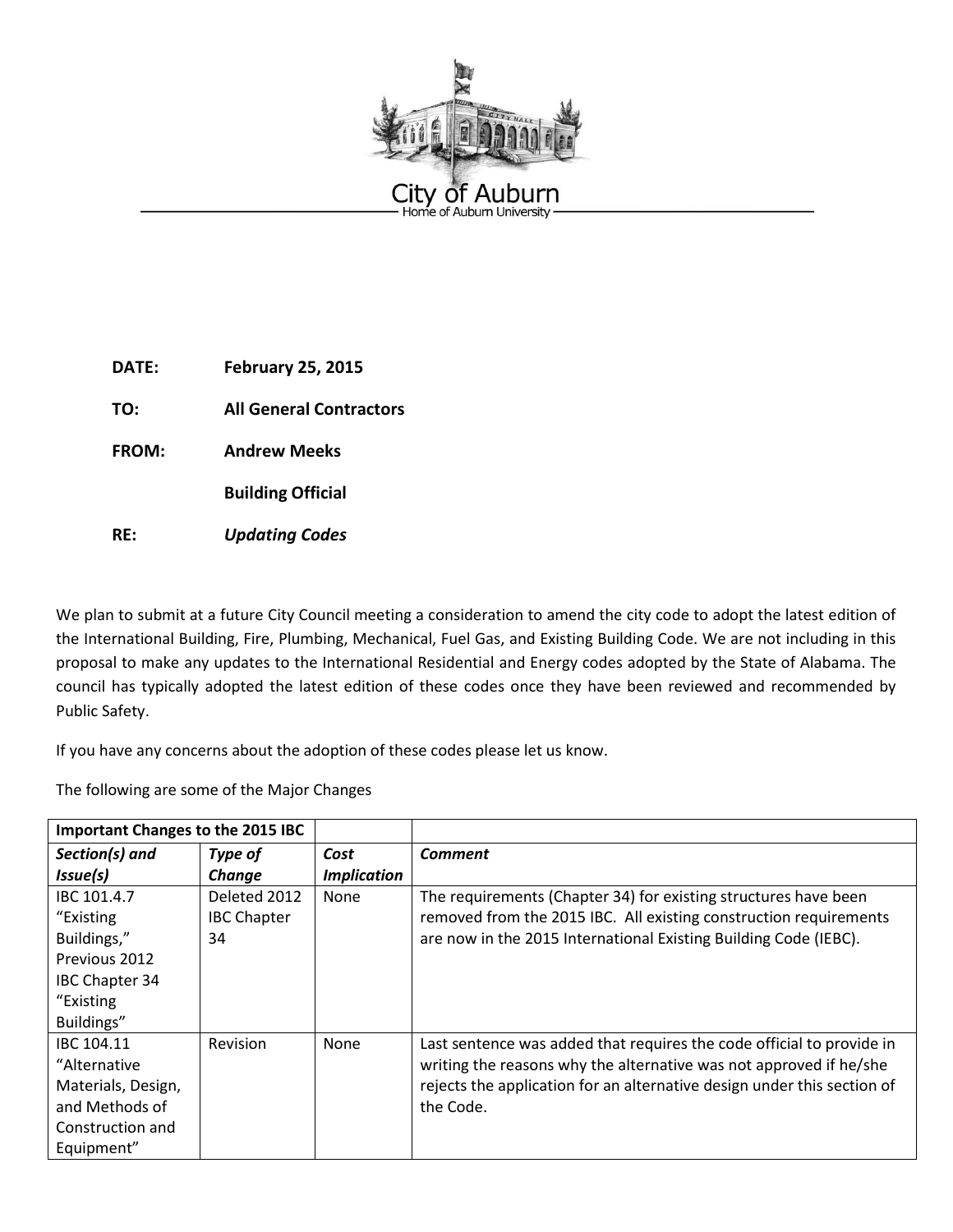

**DATE: February 25, 2015**

**TO: All General Contractors** 

**FROM: Andrew Meeks**

**Building Official**

**RE:** *Updating Codes*

We plan to submit at a future City Council meeting a consideration to amend the city code to adopt the latest edition of the International Building, Fire, Plumbing, Mechanical, Fuel Gas, and Existing Building Code. We are not including in this proposal to make any updates to the International Residential and Energy codes adopted by the State of Alabama. The council has typically adopted the latest edition of these codes once they have been reviewed and recommended by Public Safety.

If you have any concerns about the adoption of these codes please let us know.

The following are some of the Major Changes

| <b>Important Changes to the 2015 IBC</b>                                                                     |                                          |                            |                                                                                                                                                                                                                                     |
|--------------------------------------------------------------------------------------------------------------|------------------------------------------|----------------------------|-------------------------------------------------------------------------------------------------------------------------------------------------------------------------------------------------------------------------------------|
| Section(s) and<br>Issue(s)                                                                                   | Type of<br>Change                        | Cost<br><b>Implication</b> | <b>Comment</b>                                                                                                                                                                                                                      |
| IBC 101.4.7<br>"Existing<br>Buildings,"<br>Previous 2012<br><b>IBC Chapter 34</b><br>"Existing<br>Buildings" | Deleted 2012<br><b>IBC Chapter</b><br>34 | None                       | The requirements (Chapter 34) for existing structures have been<br>removed from the 2015 IBC. All existing construction requirements<br>are now in the 2015 International Existing Building Code (IEBC).                            |
| IBC 104.11<br>"Alternative<br>Materials, Design,<br>and Methods of<br>Construction and<br>Equipment"         | Revision                                 | None                       | Last sentence was added that requires the code official to provide in<br>writing the reasons why the alternative was not approved if he/she<br>rejects the application for an alternative design under this section of<br>the Code. |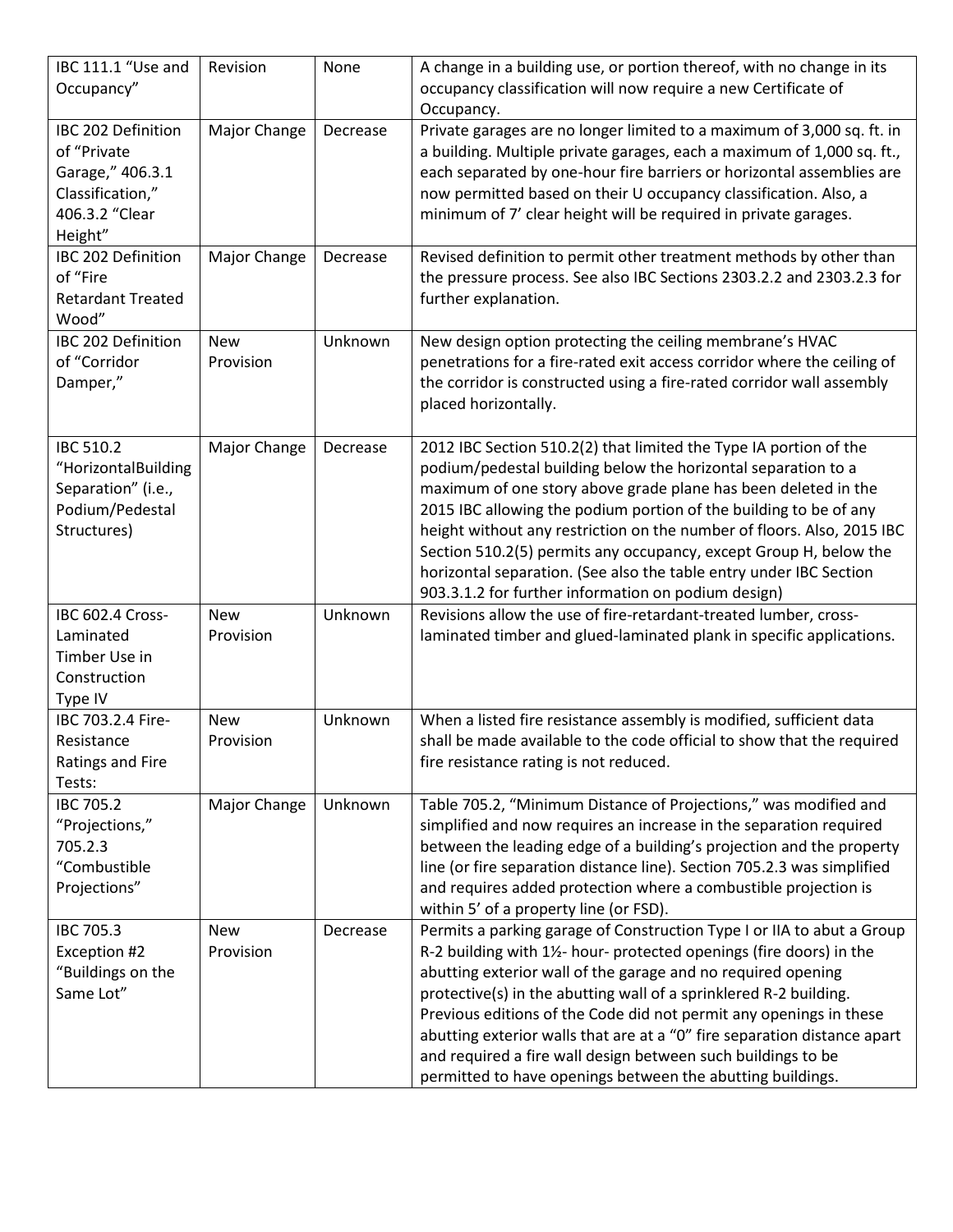| IBC 111.1 "Use and<br>Occupancy"                                                                       | Revision                | None     | A change in a building use, or portion thereof, with no change in its<br>occupancy classification will now require a new Certificate of                                                                                                                                                                                                                                                                                                                                                                                                                             |
|--------------------------------------------------------------------------------------------------------|-------------------------|----------|---------------------------------------------------------------------------------------------------------------------------------------------------------------------------------------------------------------------------------------------------------------------------------------------------------------------------------------------------------------------------------------------------------------------------------------------------------------------------------------------------------------------------------------------------------------------|
| IBC 202 Definition<br>of "Private<br>Garage," 406.3.1<br>Classification,"<br>406.3.2 "Clear<br>Height" | Major Change            | Decrease | Occupancy.<br>Private garages are no longer limited to a maximum of 3,000 sq. ft. in<br>a building. Multiple private garages, each a maximum of 1,000 sq. ft.,<br>each separated by one-hour fire barriers or horizontal assemblies are<br>now permitted based on their U occupancy classification. Also, a<br>minimum of 7' clear height will be required in private garages.                                                                                                                                                                                      |
| IBC 202 Definition<br>of "Fire<br><b>Retardant Treated</b><br>Wood"                                    | Major Change            | Decrease | Revised definition to permit other treatment methods by other than<br>the pressure process. See also IBC Sections 2303.2.2 and 2303.2.3 for<br>further explanation.                                                                                                                                                                                                                                                                                                                                                                                                 |
| IBC 202 Definition<br>of "Corridor<br>Damper,"                                                         | <b>New</b><br>Provision | Unknown  | New design option protecting the ceiling membrane's HVAC<br>penetrations for a fire-rated exit access corridor where the ceiling of<br>the corridor is constructed using a fire-rated corridor wall assembly<br>placed horizontally.                                                                                                                                                                                                                                                                                                                                |
| <b>IBC 510.2</b><br>"HorizontalBuilding<br>Separation" (i.e.,<br>Podium/Pedestal<br>Structures)        | Major Change            | Decrease | 2012 IBC Section 510.2(2) that limited the Type IA portion of the<br>podium/pedestal building below the horizontal separation to a<br>maximum of one story above grade plane has been deleted in the<br>2015 IBC allowing the podium portion of the building to be of any<br>height without any restriction on the number of floors. Also, 2015 IBC<br>Section 510.2(5) permits any occupancy, except Group H, below the<br>horizontal separation. (See also the table entry under IBC Section<br>903.3.1.2 for further information on podium design)               |
| IBC 602.4 Cross-<br>Laminated<br>Timber Use in<br>Construction<br>Type IV                              | <b>New</b><br>Provision | Unknown  | Revisions allow the use of fire-retardant-treated lumber, cross-<br>laminated timber and glued-laminated plank in specific applications.                                                                                                                                                                                                                                                                                                                                                                                                                            |
| IBC 703.2.4 Fire-<br>Resistance<br>Ratings and Fire<br>Tests:                                          | <b>New</b><br>Provision | Unknown  | When a listed fire resistance assembly is modified, sufficient data<br>shall be made available to the code official to show that the required<br>fire resistance rating is not reduced.                                                                                                                                                                                                                                                                                                                                                                             |
| IBC 705.2<br>"Projections,"<br>705.2.3<br>"Combustible<br>Projections"                                 | Major Change            | Unknown  | Table 705.2, "Minimum Distance of Projections," was modified and<br>simplified and now requires an increase in the separation required<br>between the leading edge of a building's projection and the property<br>line (or fire separation distance line). Section 705.2.3 was simplified<br>and requires added protection where a combustible projection is<br>within 5' of a property line (or FSD).                                                                                                                                                              |
| <b>IBC 705.3</b><br>Exception #2<br>"Buildings on the<br>Same Lot"                                     | <b>New</b><br>Provision | Decrease | Permits a parking garage of Construction Type I or IIA to abut a Group<br>R-2 building with 11/2- hour- protected openings (fire doors) in the<br>abutting exterior wall of the garage and no required opening<br>protective(s) in the abutting wall of a sprinklered R-2 building.<br>Previous editions of the Code did not permit any openings in these<br>abutting exterior walls that are at a "0" fire separation distance apart<br>and required a fire wall design between such buildings to be<br>permitted to have openings between the abutting buildings. |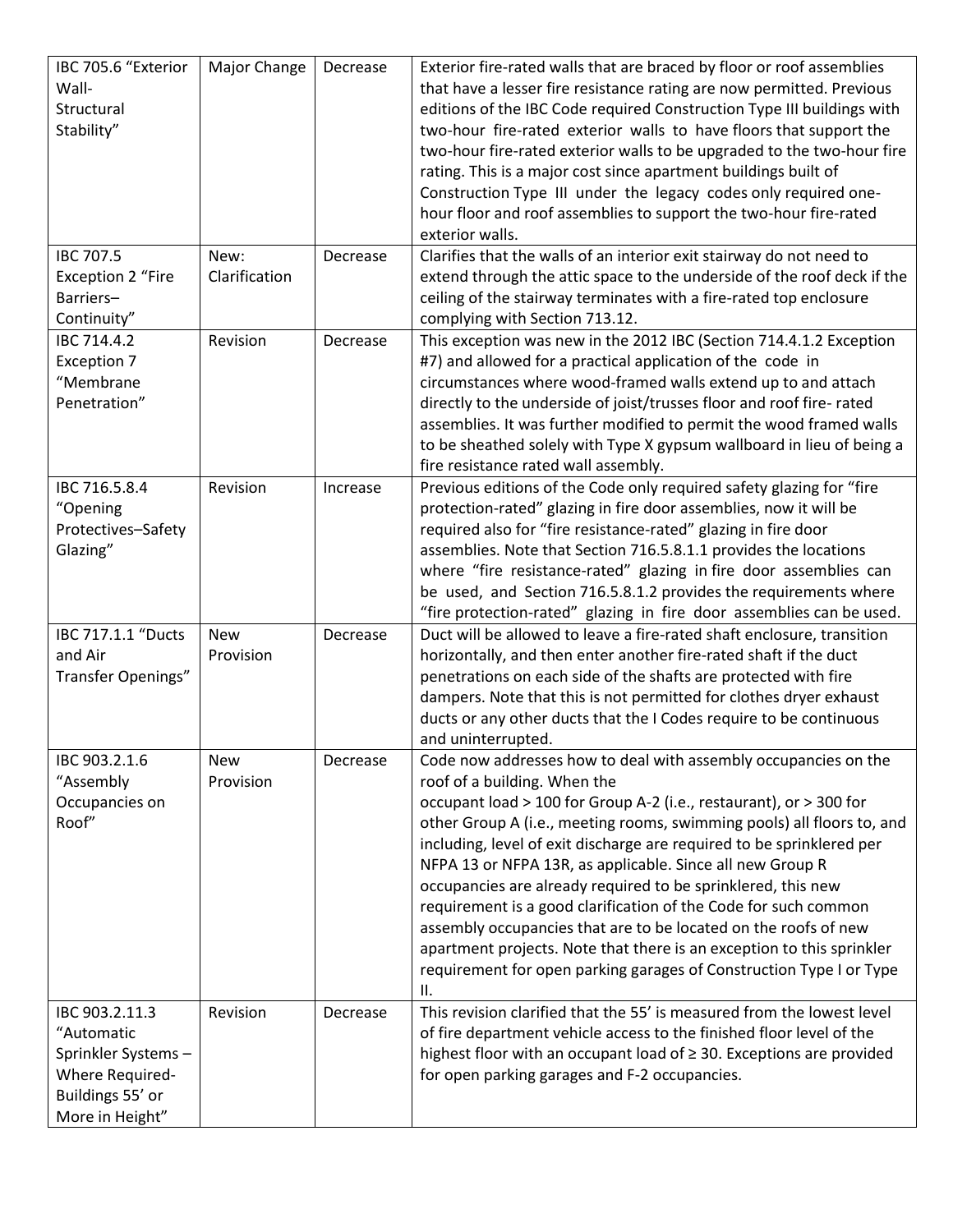| IBC 705.6 "Exterior<br>Wall-<br>Structural<br>Stability"                                                     | Major Change            | Decrease | Exterior fire-rated walls that are braced by floor or roof assemblies<br>that have a lesser fire resistance rating are now permitted. Previous<br>editions of the IBC Code required Construction Type III buildings with<br>two-hour fire-rated exterior walls to have floors that support the<br>two-hour fire-rated exterior walls to be upgraded to the two-hour fire<br>rating. This is a major cost since apartment buildings built of<br>Construction Type III under the legacy codes only required one-<br>hour floor and roof assemblies to support the two-hour fire-rated<br>exterior walls.                                                                                                                                            |
|--------------------------------------------------------------------------------------------------------------|-------------------------|----------|---------------------------------------------------------------------------------------------------------------------------------------------------------------------------------------------------------------------------------------------------------------------------------------------------------------------------------------------------------------------------------------------------------------------------------------------------------------------------------------------------------------------------------------------------------------------------------------------------------------------------------------------------------------------------------------------------------------------------------------------------|
| IBC 707.5<br><b>Exception 2 "Fire</b><br>Barriers-                                                           | New:<br>Clarification   | Decrease | Clarifies that the walls of an interior exit stairway do not need to<br>extend through the attic space to the underside of the roof deck if the<br>ceiling of the stairway terminates with a fire-rated top enclosure                                                                                                                                                                                                                                                                                                                                                                                                                                                                                                                             |
| Continuity"<br>IBC 714.4.2<br>Exception 7<br>"Membrane<br>Penetration"                                       | Revision                | Decrease | complying with Section 713.12.<br>This exception was new in the 2012 IBC (Section 714.4.1.2 Exception<br>#7) and allowed for a practical application of the code in<br>circumstances where wood-framed walls extend up to and attach<br>directly to the underside of joist/trusses floor and roof fire- rated<br>assemblies. It was further modified to permit the wood framed walls<br>to be sheathed solely with Type X gypsum wallboard in lieu of being a<br>fire resistance rated wall assembly.                                                                                                                                                                                                                                             |
| IBC 716.5.8.4<br>"Opening<br>Protectives-Safety<br>Glazing"                                                  | Revision                | Increase | Previous editions of the Code only required safety glazing for "fire<br>protection-rated" glazing in fire door assemblies, now it will be<br>required also for "fire resistance-rated" glazing in fire door<br>assemblies. Note that Section 716.5.8.1.1 provides the locations<br>where "fire resistance-rated" glazing in fire door assemblies can<br>be used, and Section 716.5.8.1.2 provides the requirements where<br>"fire protection-rated" glazing in fire door assemblies can be used.                                                                                                                                                                                                                                                  |
| IBC 717.1.1 "Ducts<br>and Air<br>Transfer Openings"                                                          | <b>New</b><br>Provision | Decrease | Duct will be allowed to leave a fire-rated shaft enclosure, transition<br>horizontally, and then enter another fire-rated shaft if the duct<br>penetrations on each side of the shafts are protected with fire<br>dampers. Note that this is not permitted for clothes dryer exhaust<br>ducts or any other ducts that the I Codes require to be continuous<br>and uninterrupted.                                                                                                                                                                                                                                                                                                                                                                  |
| IBC 903.2.1.6<br>"Assembly<br>Occupancies on<br>Roof"                                                        | <b>New</b><br>Provision | Decrease | Code now addresses how to deal with assembly occupancies on the<br>roof of a building. When the<br>occupant load > 100 for Group A-2 (i.e., restaurant), or > 300 for<br>other Group A (i.e., meeting rooms, swimming pools) all floors to, and<br>including, level of exit discharge are required to be sprinklered per<br>NFPA 13 or NFPA 13R, as applicable. Since all new Group R<br>occupancies are already required to be sprinklered, this new<br>requirement is a good clarification of the Code for such common<br>assembly occupancies that are to be located on the roofs of new<br>apartment projects. Note that there is an exception to this sprinkler<br>requirement for open parking garages of Construction Type I or Type<br>H. |
| IBC 903.2.11.3<br>"Automatic<br>Sprinkler Systems-<br>Where Required-<br>Buildings 55' or<br>More in Height" | Revision                | Decrease | This revision clarified that the 55' is measured from the lowest level<br>of fire department vehicle access to the finished floor level of the<br>highest floor with an occupant load of ≥ 30. Exceptions are provided<br>for open parking garages and F-2 occupancies.                                                                                                                                                                                                                                                                                                                                                                                                                                                                           |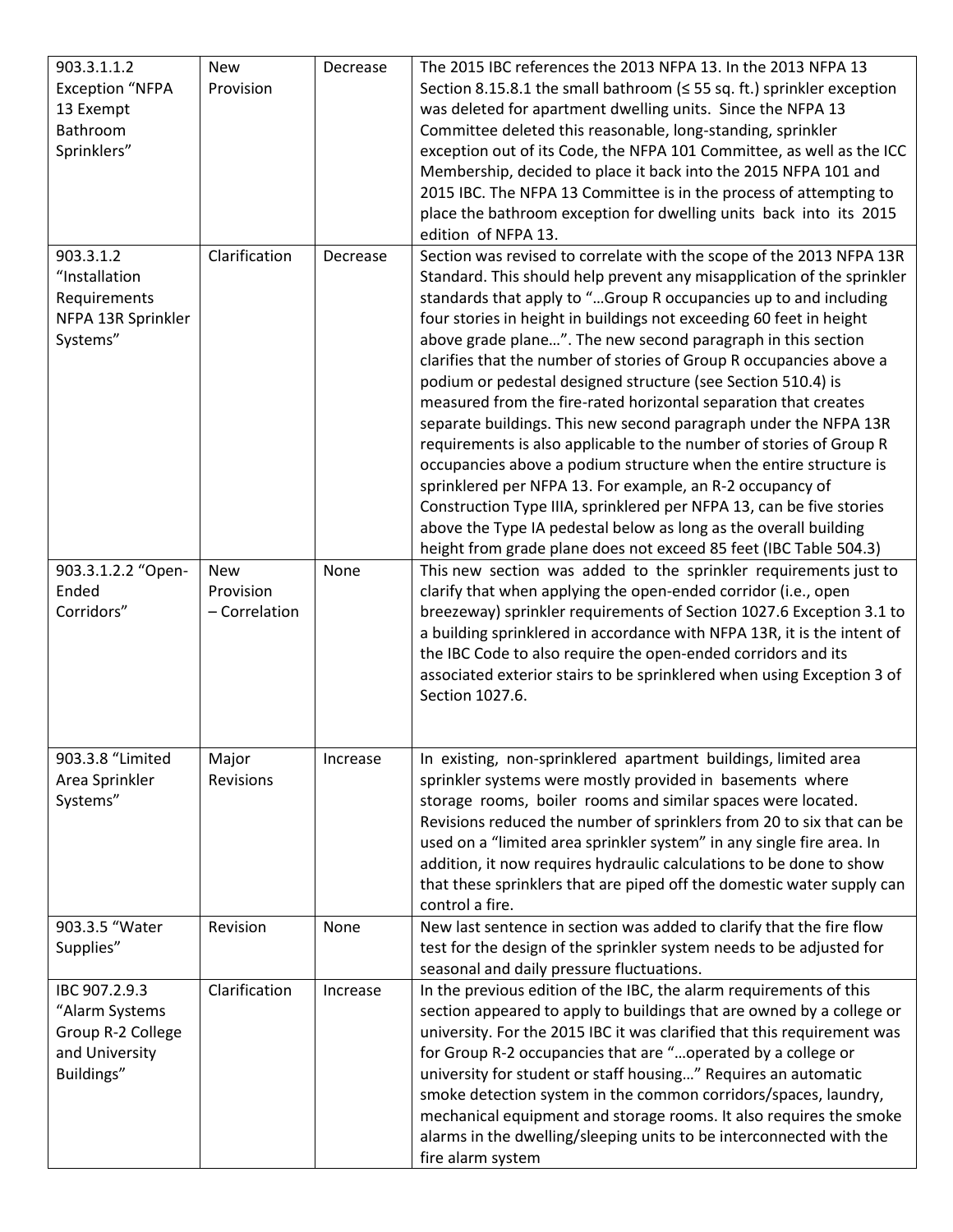| 903.3.1.1.2<br><b>Exception "NFPA</b><br>13 Exempt<br>Bathroom<br>Sprinklers"        | <b>New</b><br>Provision                  | Decrease | The 2015 IBC references the 2013 NFPA 13. In the 2013 NFPA 13<br>Section 8.15.8.1 the small bathroom ( $\leq$ 55 sq. ft.) sprinkler exception<br>was deleted for apartment dwelling units. Since the NFPA 13<br>Committee deleted this reasonable, long-standing, sprinkler<br>exception out of its Code, the NFPA 101 Committee, as well as the ICC<br>Membership, decided to place it back into the 2015 NFPA 101 and<br>2015 IBC. The NFPA 13 Committee is in the process of attempting to<br>place the bathroom exception for dwelling units back into its 2015<br>edition of NFPA 13.                                                                                                                                                                                                                                                                                                                                                                                                                                                                        |
|--------------------------------------------------------------------------------------|------------------------------------------|----------|-------------------------------------------------------------------------------------------------------------------------------------------------------------------------------------------------------------------------------------------------------------------------------------------------------------------------------------------------------------------------------------------------------------------------------------------------------------------------------------------------------------------------------------------------------------------------------------------------------------------------------------------------------------------------------------------------------------------------------------------------------------------------------------------------------------------------------------------------------------------------------------------------------------------------------------------------------------------------------------------------------------------------------------------------------------------|
| 903.3.1.2<br>"Installation<br>Requirements<br>NFPA 13R Sprinkler<br>Systems"         | Clarification                            | Decrease | Section was revised to correlate with the scope of the 2013 NFPA 13R<br>Standard. This should help prevent any misapplication of the sprinkler<br>standards that apply to "Group R occupancies up to and including<br>four stories in height in buildings not exceeding 60 feet in height<br>above grade plane". The new second paragraph in this section<br>clarifies that the number of stories of Group R occupancies above a<br>podium or pedestal designed structure (see Section 510.4) is<br>measured from the fire-rated horizontal separation that creates<br>separate buildings. This new second paragraph under the NFPA 13R<br>requirements is also applicable to the number of stories of Group R<br>occupancies above a podium structure when the entire structure is<br>sprinklered per NFPA 13. For example, an R-2 occupancy of<br>Construction Type IIIA, sprinklered per NFPA 13, can be five stories<br>above the Type IA pedestal below as long as the overall building<br>height from grade plane does not exceed 85 feet (IBC Table 504.3) |
| 903.3.1.2.2 "Open-<br>Ended<br>Corridors"                                            | <b>New</b><br>Provision<br>- Correlation | None     | This new section was added to the sprinkler requirements just to<br>clarify that when applying the open-ended corridor (i.e., open<br>breezeway) sprinkler requirements of Section 1027.6 Exception 3.1 to<br>a building sprinklered in accordance with NFPA 13R, it is the intent of<br>the IBC Code to also require the open-ended corridors and its<br>associated exterior stairs to be sprinklered when using Exception 3 of<br>Section 1027.6.                                                                                                                                                                                                                                                                                                                                                                                                                                                                                                                                                                                                               |
| 903.3.8 "Limited<br>Area Sprinkler<br>Systems"                                       | Major<br>Revisions                       | Increase | In existing, non-sprinklered apartment buildings, limited area<br>sprinkler systems were mostly provided in basements where<br>storage rooms, boiler rooms and similar spaces were located.<br>Revisions reduced the number of sprinklers from 20 to six that can be<br>used on a "limited area sprinkler system" in any single fire area. In<br>addition, it now requires hydraulic calculations to be done to show<br>that these sprinklers that are piped off the domestic water supply can<br>control a fire.                                                                                                                                                                                                                                                                                                                                                                                                                                                                                                                                                 |
| 903.3.5 "Water<br>Supplies"                                                          | Revision                                 | None     | New last sentence in section was added to clarify that the fire flow<br>test for the design of the sprinkler system needs to be adjusted for<br>seasonal and daily pressure fluctuations.                                                                                                                                                                                                                                                                                                                                                                                                                                                                                                                                                                                                                                                                                                                                                                                                                                                                         |
| IBC 907.2.9.3<br>"Alarm Systems<br>Group R-2 College<br>and University<br>Buildings" | Clarification                            | Increase | In the previous edition of the IBC, the alarm requirements of this<br>section appeared to apply to buildings that are owned by a college or<br>university. For the 2015 IBC it was clarified that this requirement was<br>for Group R-2 occupancies that are "operated by a college or<br>university for student or staff housing" Requires an automatic<br>smoke detection system in the common corridors/spaces, laundry,<br>mechanical equipment and storage rooms. It also requires the smoke<br>alarms in the dwelling/sleeping units to be interconnected with the<br>fire alarm system                                                                                                                                                                                                                                                                                                                                                                                                                                                                     |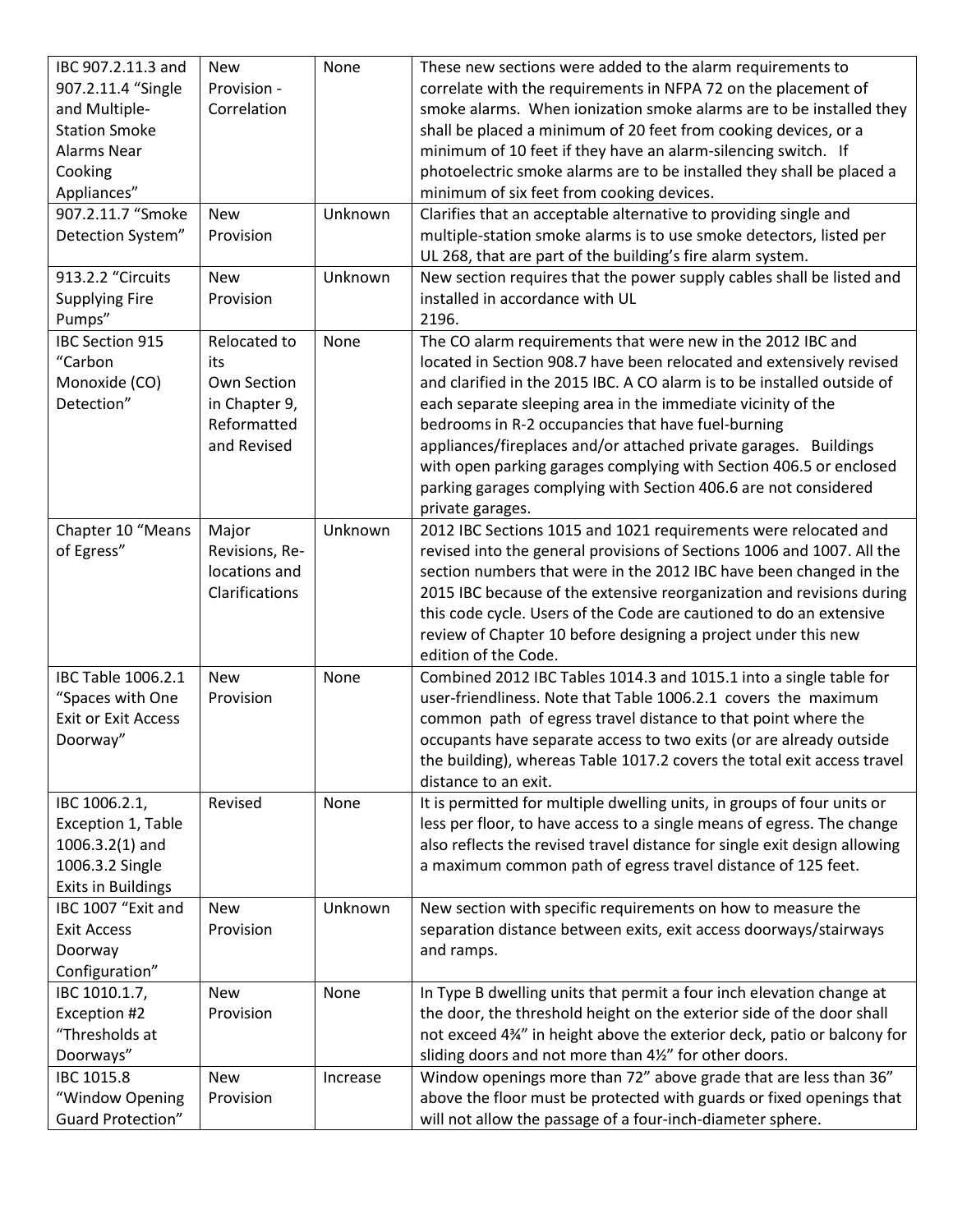| IBC 907.2.11.3 and<br>907.2.11.4 "Single<br>and Multiple-<br><b>Station Smoke</b><br><b>Alarms Near</b><br>Cooking<br>Appliances" | <b>New</b><br>Provision -<br>Correlation                                          | None     | These new sections were added to the alarm requirements to<br>correlate with the requirements in NFPA 72 on the placement of<br>smoke alarms. When ionization smoke alarms are to be installed they<br>shall be placed a minimum of 20 feet from cooking devices, or a<br>minimum of 10 feet if they have an alarm-silencing switch. If<br>photoelectric smoke alarms are to be installed they shall be placed a<br>minimum of six feet from cooking devices.                                                                                                         |
|-----------------------------------------------------------------------------------------------------------------------------------|-----------------------------------------------------------------------------------|----------|-----------------------------------------------------------------------------------------------------------------------------------------------------------------------------------------------------------------------------------------------------------------------------------------------------------------------------------------------------------------------------------------------------------------------------------------------------------------------------------------------------------------------------------------------------------------------|
| 907.2.11.7 "Smoke<br>Detection System"                                                                                            | <b>New</b><br>Provision                                                           | Unknown  | Clarifies that an acceptable alternative to providing single and<br>multiple-station smoke alarms is to use smoke detectors, listed per<br>UL 268, that are part of the building's fire alarm system.                                                                                                                                                                                                                                                                                                                                                                 |
| 913.2.2 "Circuits<br><b>Supplying Fire</b><br>Pumps"                                                                              | <b>New</b><br>Provision                                                           | Unknown  | New section requires that the power supply cables shall be listed and<br>installed in accordance with UL<br>2196.                                                                                                                                                                                                                                                                                                                                                                                                                                                     |
| <b>IBC Section 915</b><br>"Carbon<br>Monoxide (CO)<br>Detection"                                                                  | Relocated to<br>its<br>Own Section<br>in Chapter 9,<br>Reformatted<br>and Revised | None     | The CO alarm requirements that were new in the 2012 IBC and<br>located in Section 908.7 have been relocated and extensively revised<br>and clarified in the 2015 IBC. A CO alarm is to be installed outside of<br>each separate sleeping area in the immediate vicinity of the<br>bedrooms in R-2 occupancies that have fuel-burning<br>appliances/fireplaces and/or attached private garages. Buildings<br>with open parking garages complying with Section 406.5 or enclosed<br>parking garages complying with Section 406.6 are not considered<br>private garages. |
| Chapter 10 "Means<br>of Egress"                                                                                                   | Major<br>Revisions, Re-<br>locations and<br>Clarifications                        | Unknown  | 2012 IBC Sections 1015 and 1021 requirements were relocated and<br>revised into the general provisions of Sections 1006 and 1007. All the<br>section numbers that were in the 2012 IBC have been changed in the<br>2015 IBC because of the extensive reorganization and revisions during<br>this code cycle. Users of the Code are cautioned to do an extensive<br>review of Chapter 10 before designing a project under this new<br>edition of the Code.                                                                                                             |
| IBC Table 1006.2.1<br>"Spaces with One<br><b>Exit or Exit Access</b><br>Doorway"                                                  | <b>New</b><br>Provision                                                           | None     | Combined 2012 IBC Tables 1014.3 and 1015.1 into a single table for<br>user-friendliness. Note that Table 1006.2.1 covers the maximum<br>common path of egress travel distance to that point where the<br>occupants have separate access to two exits (or are already outside<br>the building), whereas Table 1017.2 covers the total exit access travel<br>distance to an exit.                                                                                                                                                                                       |
| IBC 1006.2.1,<br>Exception 1, Table<br>$1006.3.2(1)$ and<br>1006.3.2 Single<br><b>Exits in Buildings</b>                          | Revised                                                                           | None     | It is permitted for multiple dwelling units, in groups of four units or<br>less per floor, to have access to a single means of egress. The change<br>also reflects the revised travel distance for single exit design allowing<br>a maximum common path of egress travel distance of 125 feet.                                                                                                                                                                                                                                                                        |
| IBC 1007 "Exit and<br><b>Exit Access</b><br>Doorway<br>Configuration"                                                             | <b>New</b><br>Provision                                                           | Unknown  | New section with specific requirements on how to measure the<br>separation distance between exits, exit access doorways/stairways<br>and ramps.                                                                                                                                                                                                                                                                                                                                                                                                                       |
| IBC 1010.1.7,<br>Exception #2<br>"Thresholds at<br>Doorways"                                                                      | New<br>Provision                                                                  | None     | In Type B dwelling units that permit a four inch elevation change at<br>the door, the threshold height on the exterior side of the door shall<br>not exceed 434" in height above the exterior deck, patio or balcony for<br>sliding doors and not more than 41/2" for other doors.                                                                                                                                                                                                                                                                                    |
| IBC 1015.8<br>"Window Opening<br><b>Guard Protection"</b>                                                                         | <b>New</b><br>Provision                                                           | Increase | Window openings more than 72" above grade that are less than 36"<br>above the floor must be protected with guards or fixed openings that<br>will not allow the passage of a four-inch-diameter sphere.                                                                                                                                                                                                                                                                                                                                                                |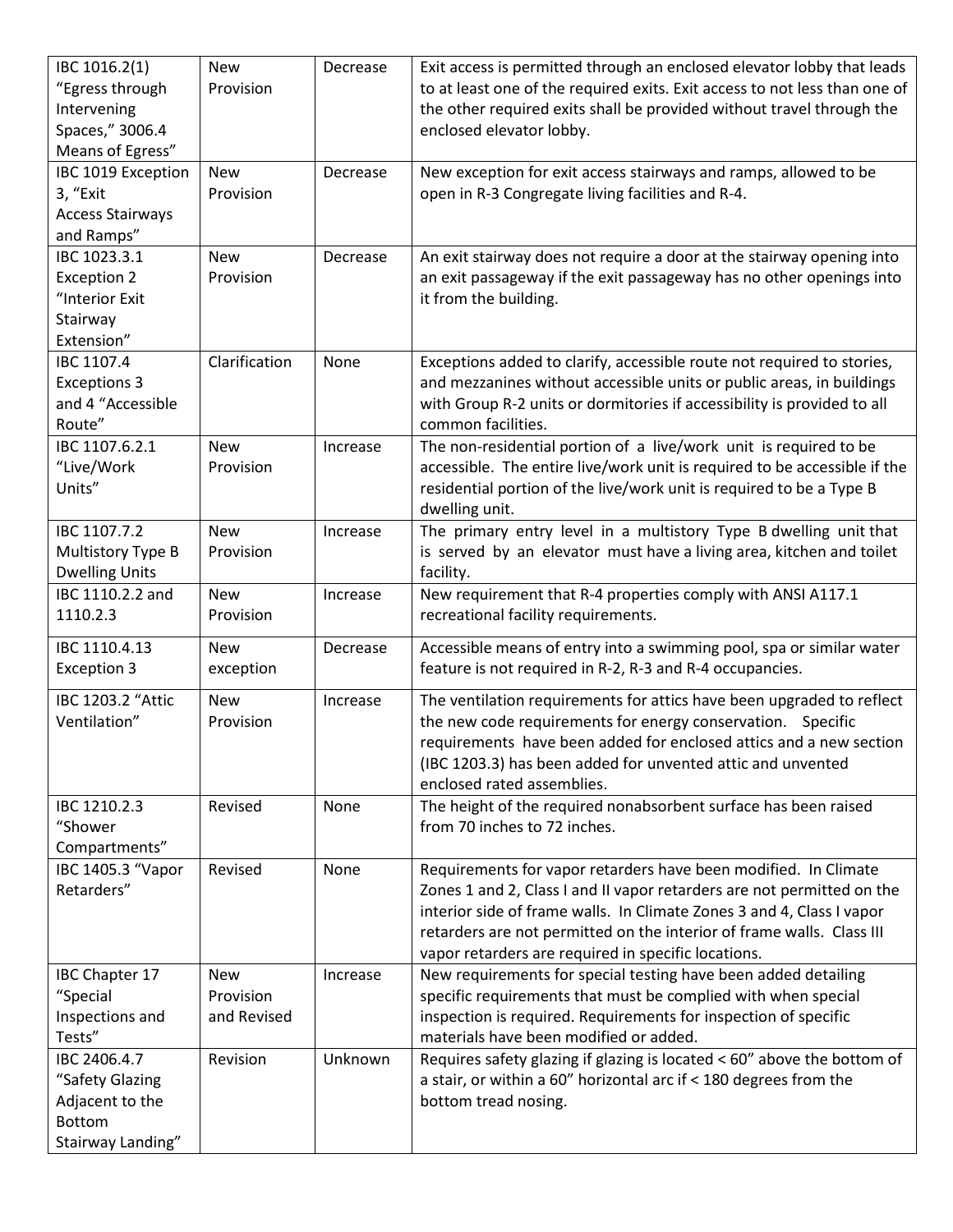| IBC 1016.2(1)<br>"Egress through<br>Intervening<br>Spaces," 3006.4<br>Means of Egress"   | <b>New</b><br>Provision                | Decrease | Exit access is permitted through an enclosed elevator lobby that leads<br>to at least one of the required exits. Exit access to not less than one of<br>the other required exits shall be provided without travel through the<br>enclosed elevator lobby.                                                                                          |
|------------------------------------------------------------------------------------------|----------------------------------------|----------|----------------------------------------------------------------------------------------------------------------------------------------------------------------------------------------------------------------------------------------------------------------------------------------------------------------------------------------------------|
| IBC 1019 Exception<br>3, "Exit<br><b>Access Stairways</b><br>and Ramps"                  | <b>New</b><br>Provision                | Decrease | New exception for exit access stairways and ramps, allowed to be<br>open in R-3 Congregate living facilities and R-4.                                                                                                                                                                                                                              |
| IBC 1023.3.1<br><b>Exception 2</b><br>"Interior Exit<br>Stairway<br>Extension"           | <b>New</b><br>Provision                | Decrease | An exit stairway does not require a door at the stairway opening into<br>an exit passageway if the exit passageway has no other openings into<br>it from the building.                                                                                                                                                                             |
| IBC 1107.4<br><b>Exceptions 3</b><br>and 4 "Accessible<br>Route"                         | Clarification                          | None     | Exceptions added to clarify, accessible route not required to stories,<br>and mezzanines without accessible units or public areas, in buildings<br>with Group R-2 units or dormitories if accessibility is provided to all<br>common facilities.                                                                                                   |
| IBC 1107.6.2.1<br>"Live/Work<br>Units"                                                   | <b>New</b><br>Provision                | Increase | The non-residential portion of a live/work unit is required to be<br>accessible. The entire live/work unit is required to be accessible if the<br>residential portion of the live/work unit is required to be a Type B<br>dwelling unit.                                                                                                           |
| IBC 1107.7.2<br>Multistory Type B<br><b>Dwelling Units</b>                               | <b>New</b><br>Provision                | Increase | The primary entry level in a multistory Type B dwelling unit that<br>is served by an elevator must have a living area, kitchen and toilet<br>facility.                                                                                                                                                                                             |
| IBC 1110.2.2 and<br>1110.2.3                                                             | <b>New</b><br>Provision                | Increase | New requirement that R-4 properties comply with ANSI A117.1<br>recreational facility requirements.                                                                                                                                                                                                                                                 |
| IBC 1110.4.13<br><b>Exception 3</b>                                                      | <b>New</b><br>exception                | Decrease | Accessible means of entry into a swimming pool, spa or similar water<br>feature is not required in R-2, R-3 and R-4 occupancies.                                                                                                                                                                                                                   |
| IBC 1203.2 "Attic<br>Ventilation"                                                        | <b>New</b><br>Provision                | Increase | The ventilation requirements for attics have been upgraded to reflect<br>the new code requirements for energy conservation. Specific<br>requirements have been added for enclosed attics and a new section<br>(IBC 1203.3) has been added for unvented attic and unvented<br>enclosed rated assemblies.                                            |
| IBC 1210.2.3<br>"Shower<br>Compartments"                                                 | Revised                                | None     | The height of the required nonabsorbent surface has been raised<br>from 70 inches to 72 inches.                                                                                                                                                                                                                                                    |
| IBC 1405.3 "Vapor<br>Retarders"                                                          | Revised                                | None     | Requirements for vapor retarders have been modified. In Climate<br>Zones 1 and 2, Class I and II vapor retarders are not permitted on the<br>interior side of frame walls. In Climate Zones 3 and 4, Class I vapor<br>retarders are not permitted on the interior of frame walls. Class III<br>vapor retarders are required in specific locations. |
| IBC Chapter 17<br>"Special<br>Inspections and<br>Tests"                                  | <b>New</b><br>Provision<br>and Revised | Increase | New requirements for special testing have been added detailing<br>specific requirements that must be complied with when special<br>inspection is required. Requirements for inspection of specific<br>materials have been modified or added.                                                                                                       |
| IBC 2406.4.7<br>"Safety Glazing<br>Adjacent to the<br><b>Bottom</b><br>Stairway Landing" | Revision                               | Unknown  | Requires safety glazing if glazing is located < 60" above the bottom of<br>a stair, or within a 60" horizontal arc if < 180 degrees from the<br>bottom tread nosing.                                                                                                                                                                               |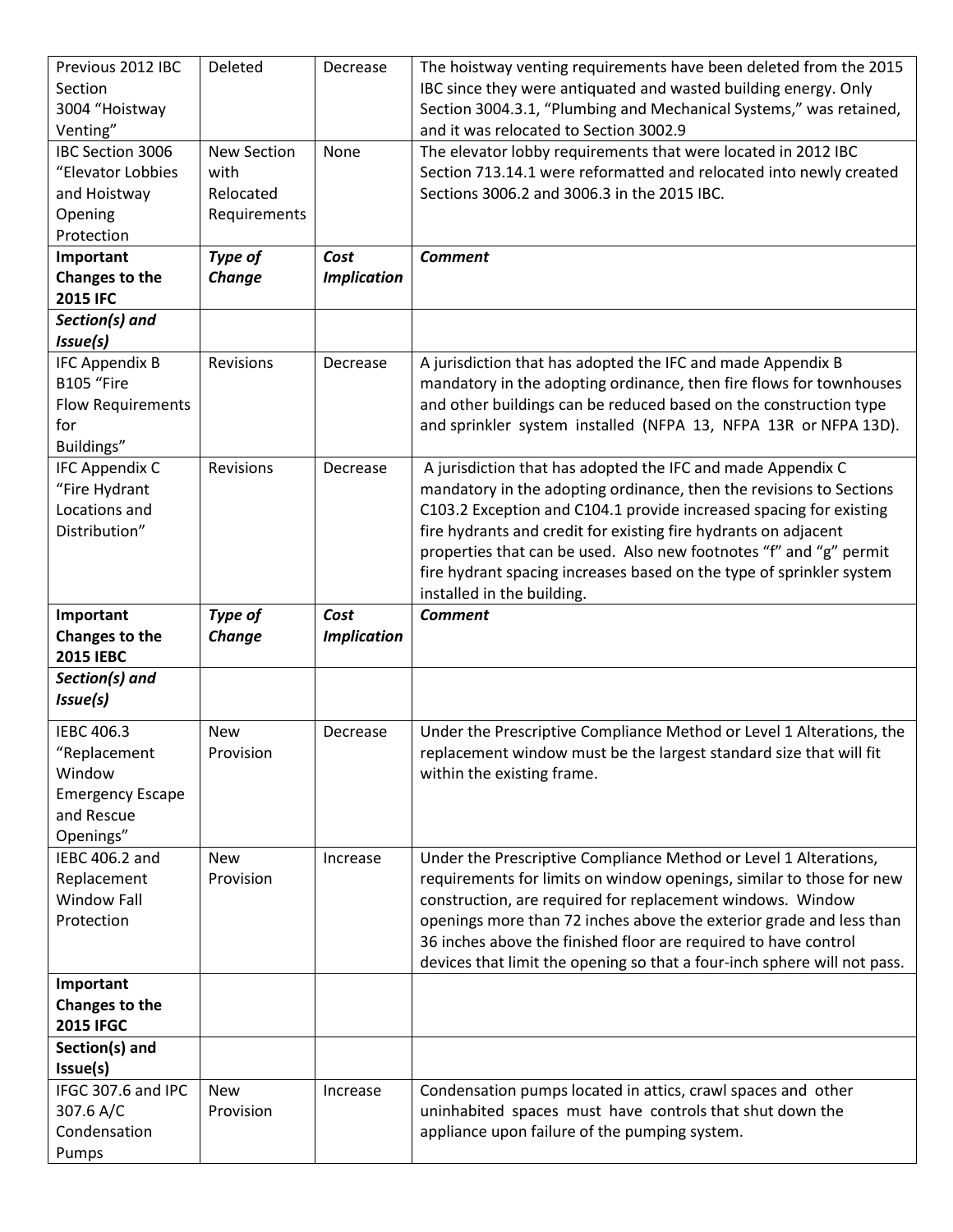| Previous 2012 IBC                  | Deleted                 | Decrease           | The hoistway venting requirements have been deleted from the 2015                                                                   |
|------------------------------------|-------------------------|--------------------|-------------------------------------------------------------------------------------------------------------------------------------|
| Section                            |                         |                    | IBC since they were antiquated and wasted building energy. Only                                                                     |
| 3004 "Hoistway                     |                         |                    | Section 3004.3.1, "Plumbing and Mechanical Systems," was retained,                                                                  |
| Venting"<br>IBC Section 3006       | <b>New Section</b>      |                    | and it was relocated to Section 3002.9                                                                                              |
| "Elevator Lobbies                  | with                    | None               | The elevator lobby requirements that were located in 2012 IBC<br>Section 713.14.1 were reformatted and relocated into newly created |
| and Hoistway                       | Relocated               |                    | Sections 3006.2 and 3006.3 in the 2015 IBC.                                                                                         |
| Opening                            | Requirements            |                    |                                                                                                                                     |
| Protection                         |                         |                    |                                                                                                                                     |
| Important                          | Type of                 | Cost               | <b>Comment</b>                                                                                                                      |
| Changes to the                     | Change                  | <b>Implication</b> |                                                                                                                                     |
| <b>2015 IFC</b>                    |                         |                    |                                                                                                                                     |
| Section(s) and                     |                         |                    |                                                                                                                                     |
| Issue(s)                           |                         |                    |                                                                                                                                     |
| <b>IFC Appendix B</b>              | Revisions               | Decrease           | A jurisdiction that has adopted the IFC and made Appendix B                                                                         |
| B105 "Fire                         |                         |                    | mandatory in the adopting ordinance, then fire flows for townhouses                                                                 |
| <b>Flow Requirements</b>           |                         |                    | and other buildings can be reduced based on the construction type                                                                   |
| for                                |                         |                    | and sprinkler system installed (NFPA 13, NFPA 13R or NFPA 13D).                                                                     |
| Buildings"                         |                         |                    |                                                                                                                                     |
| <b>IFC Appendix C</b>              | Revisions               | Decrease           | A jurisdiction that has adopted the IFC and made Appendix C                                                                         |
| "Fire Hydrant                      |                         |                    | mandatory in the adopting ordinance, then the revisions to Sections                                                                 |
| Locations and                      |                         |                    | C103.2 Exception and C104.1 provide increased spacing for existing                                                                  |
| Distribution"                      |                         |                    | fire hydrants and credit for existing fire hydrants on adjacent                                                                     |
|                                    |                         |                    | properties that can be used. Also new footnotes "f" and "g" permit                                                                  |
|                                    |                         |                    | fire hydrant spacing increases based on the type of sprinkler system<br>installed in the building.                                  |
|                                    |                         |                    |                                                                                                                                     |
|                                    |                         |                    |                                                                                                                                     |
| Important                          | Type of                 | Cost               | <b>Comment</b>                                                                                                                      |
| Changes to the<br><b>2015 IEBC</b> | <b>Change</b>           | <b>Implication</b> |                                                                                                                                     |
| Section(s) and                     |                         |                    |                                                                                                                                     |
| Issue(s)                           |                         |                    |                                                                                                                                     |
|                                    |                         |                    |                                                                                                                                     |
| IEBC 406.3                         | <b>New</b>              | Decrease           | Under the Prescriptive Compliance Method or Level 1 Alterations, the                                                                |
| "Replacement<br>Window             | Provision               |                    | replacement window must be the largest standard size that will fit<br>within the existing frame.                                    |
| <b>Emergency Escape</b>            |                         |                    |                                                                                                                                     |
| and Rescue                         |                         |                    |                                                                                                                                     |
| Openings"                          |                         |                    |                                                                                                                                     |
| IEBC 406.2 and                     | <b>New</b>              | Increase           | Under the Prescriptive Compliance Method or Level 1 Alterations,                                                                    |
| Replacement                        | Provision               |                    | requirements for limits on window openings, similar to those for new                                                                |
| <b>Window Fall</b>                 |                         |                    | construction, are required for replacement windows. Window                                                                          |
| Protection                         |                         |                    | openings more than 72 inches above the exterior grade and less than                                                                 |
|                                    |                         |                    | 36 inches above the finished floor are required to have control                                                                     |
|                                    |                         |                    | devices that limit the opening so that a four-inch sphere will not pass.                                                            |
| Important                          |                         |                    |                                                                                                                                     |
| Changes to the                     |                         |                    |                                                                                                                                     |
| <b>2015 IFGC</b>                   |                         |                    |                                                                                                                                     |
| Section(s) and                     |                         |                    |                                                                                                                                     |
| Issue(s)                           |                         |                    |                                                                                                                                     |
| IFGC 307.6 and IPC                 | <b>New</b><br>Provision | Increase           | Condensation pumps located in attics, crawl spaces and other                                                                        |
| 307.6 A/C<br>Condensation          |                         |                    | uninhabited spaces must have controls that shut down the<br>appliance upon failure of the pumping system.                           |